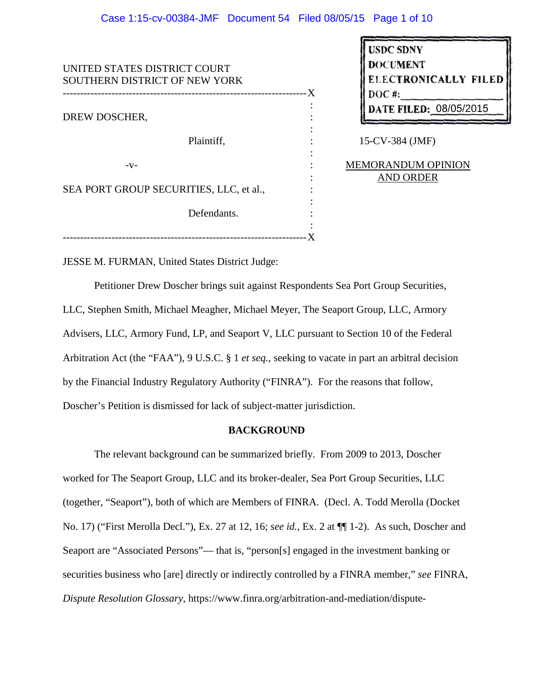## Case 1:15-cv-00384-JMF Document 54 Filed 08/05/15 Page 1 of 10

| UNITED STATES DISTRICT COURT<br>SOUTHERN DISTRICT OF NEW YORK |   |
|---------------------------------------------------------------|---|
| ---------------------                                         | X |
|                                                               |   |
| DREW DOSCHER,                                                 |   |
|                                                               |   |
| Plaintiff,                                                    |   |
|                                                               |   |
| $-V -$                                                        |   |
|                                                               |   |
| SEA PORT GROUP SECURITIES, LLC, et al.,                       |   |
|                                                               |   |
| Defendants.                                                   |   |
|                                                               |   |
|                                                               |   |

| <b>USDC SDNY</b><br><b>DOCUMENT</b><br><b>ELECTRONICALLY FILED</b><br>DOC#:<br>DATE FILED: 08/05/2015 |
|-------------------------------------------------------------------------------------------------------|
| 15-CV-384 (JMF)                                                                                       |

MEMORANDUM OPINION AND ORDER

JESSE M. FURMAN, United States District Judge:

Petitioner Drew Doscher brings suit against Respondents Sea Port Group Securities, LLC, Stephen Smith, Michael Meagher, Michael Meyer, The Seaport Group, LLC, Armory Advisers, LLC, Armory Fund, LP, and Seaport V, LLC pursuant to Section 10 of the Federal Arbitration Act (the "FAA"), 9 U.S.C. § 1 *et seq.*, seeking to vacate in part an arbitral decision by the Financial Industry Regulatory Authority ("FINRA"). For the reasons that follow, Doscher's Petition is dismissed for lack of subject-matter jurisdiction.

### **BACKGROUND**

The relevant background can be summarized briefly. From 2009 to 2013, Doscher worked for The Seaport Group, LLC and its broker-dealer, Sea Port Group Securities, LLC (together, "Seaport"), both of which are Members of FINRA. (Decl. A. Todd Merolla (Docket No. 17) ("First Merolla Decl."), Ex. 27 at 12, 16; *see id.*, Ex. 2 at ¶¶ 1-2). As such, Doscher and Seaport are "Associated Persons"— that is, "person[s] engaged in the investment banking or securities business who [are] directly or indirectly controlled by a FINRA member," *see* FINRA, *Dispute Resolution Glossary*, https://www.finra.org/arbitration-and-mediation/dispute-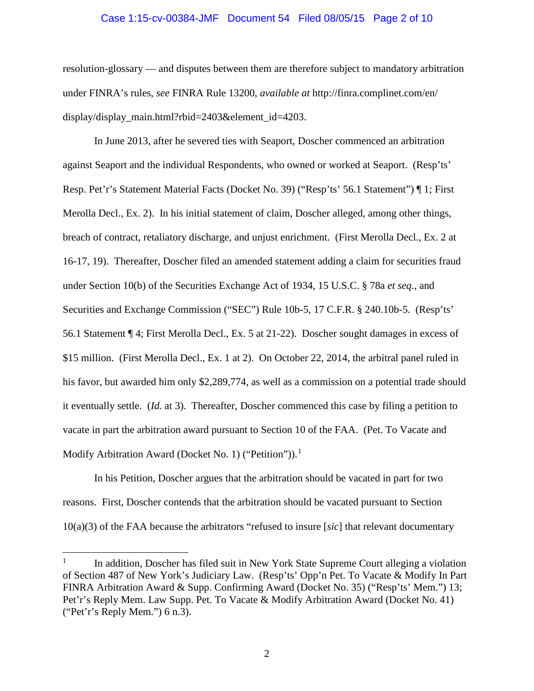### Case 1:15-cv-00384-JMF Document 54 Filed 08/05/15 Page 2 of 10

resolution-glossary — and disputes between them are therefore subject to mandatory arbitration under FINRA's rules, *see* FINRA Rule 13200, *available at* http://finra.complinet.com/en/ display/display\_main.html?rbid=2403&element\_id=4203.

In June 2013, after he severed ties with Seaport, Doscher commenced an arbitration against Seaport and the individual Respondents, who owned or worked at Seaport. (Resp'ts' Resp. Pet'r's Statement Material Facts (Docket No. 39) ("Resp'ts' 56.1 Statement") ¶ 1; First Merolla Decl., Ex. 2). In his initial statement of claim, Doscher alleged, among other things, breach of contract, retaliatory discharge, and unjust enrichment. (First Merolla Decl., Ex. 2 at 16-17, 19). Thereafter, Doscher filed an amended statement adding a claim for securities fraud under Section 10(b) of the Securities Exchange Act of 1934, 15 U.S.C. § 78a *et seq*., and Securities and Exchange Commission ("SEC") Rule 10b-5, 17 C.F.R. § 240.10b-5. (Resp'ts' 56.1 Statement ¶ 4; First Merolla Decl., Ex. 5 at 21-22). Doscher sought damages in excess of \$15 million. (First Merolla Decl., Ex. 1 at 2). On October 22, 2014, the arbitral panel ruled in his favor, but awarded him only \$2,289,774, as well as a commission on a potential trade should it eventually settle. (*Id.* at 3). Thereafter, Doscher commenced this case by filing a petition to vacate in part the arbitration award pursuant to Section 10 of the FAA. (Pet. To Vacate and Modify Arbitration Award (Docket No. 1) ("Petition")).<sup>1</sup>

 In his Petition, Doscher argues that the arbitration should be vacated in part for two reasons. First, Doscher contends that the arbitration should be vacated pursuant to Section 10(a)(3) of the FAA because the arbitrators "refused to insure [*sic*] that relevant documentary

 $\overline{a}$ 

<sup>1</sup> In addition, Doscher has filed suit in New York State Supreme Court alleging a violation of Section 487 of New York's Judiciary Law. (Resp'ts' Opp'n Pet. To Vacate & Modify In Part FINRA Arbitration Award & Supp. Confirming Award (Docket No. 35) ("Resp'ts' Mem.") 13; Pet'r's Reply Mem. Law Supp. Pet. To Vacate & Modify Arbitration Award (Docket No. 41) ("Pet'r's Reply Mem.") 6 n.3).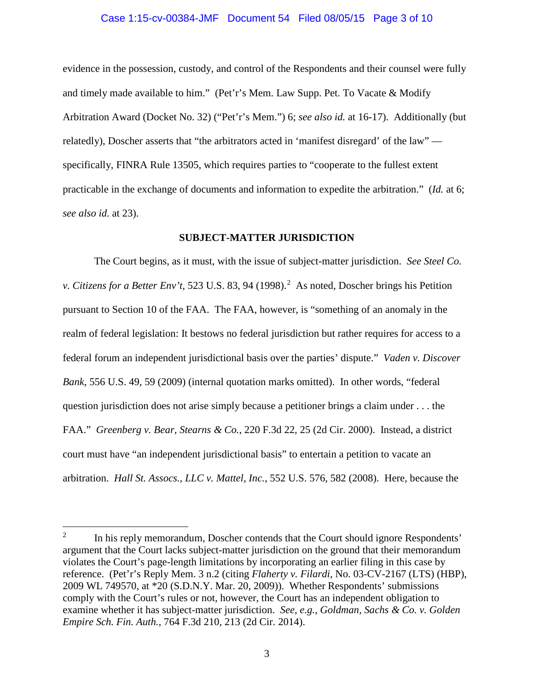### Case 1:15-cv-00384-JMF Document 54 Filed 08/05/15 Page 3 of 10

evidence in the possession, custody, and control of the Respondents and their counsel were fully and timely made available to him." (Pet'r's Mem. Law Supp. Pet. To Vacate & Modify Arbitration Award (Docket No. 32) ("Pet'r's Mem.") 6; *see also id.* at 16-17). Additionally (but relatedly), Doscher asserts that "the arbitrators acted in 'manifest disregard' of the law" specifically, FINRA Rule 13505, which requires parties to "cooperate to the fullest extent practicable in the exchange of documents and information to expedite the arbitration." (*Id.* at 6; *see also id.* at 23).

### **SUBJECT-MATTER JURISDICTION**

The Court begins, as it must, with the issue of subject-matter jurisdiction. *See Steel Co.*  v. Citizens for a Better Env't, 523 U.S. 83, 94 (1998).<sup>2</sup> As noted, Doscher brings his Petition pursuant to Section 10 of the FAA. The FAA, however, is "something of an anomaly in the realm of federal legislation: It bestows no federal jurisdiction but rather requires for access to a federal forum an independent jurisdictional basis over the parties' dispute." *Vaden v. Discover Bank*, 556 U.S. 49, 59 (2009) (internal quotation marks omitted). In other words, "federal question jurisdiction does not arise simply because a petitioner brings a claim under . . . the FAA." *Greenberg v. Bear, Stearns & Co.*, 220 F.3d 22, 25 (2d Cir. 2000). Instead, a district court must have "an independent jurisdictional basis" to entertain a petition to vacate an arbitration. *Hall St. Assocs., LLC v. Mattel, Inc.*, 552 U.S. 576, 582 (2008). Here, because the

 $\overline{a}$ 

<sup>2</sup> In his reply memorandum, Doscher contends that the Court should ignore Respondents' argument that the Court lacks subject-matter jurisdiction on the ground that their memorandum violates the Court's page-length limitations by incorporating an earlier filing in this case by reference. (Pet'r's Reply Mem. 3 n.2 (citing *Flaherty v. Filardi*, No. 03-CV-2167 (LTS) (HBP), 2009 WL 749570, at \*20 (S.D.N.Y. Mar. 20, 2009)). Whether Respondents' submissions comply with the Court's rules or not, however, the Court has an independent obligation to examine whether it has subject-matter jurisdiction. *See, e.g.*, *Goldman, Sachs & Co. v. Golden Empire Sch. Fin. Auth.*, 764 F.3d 210, 213 (2d Cir. 2014).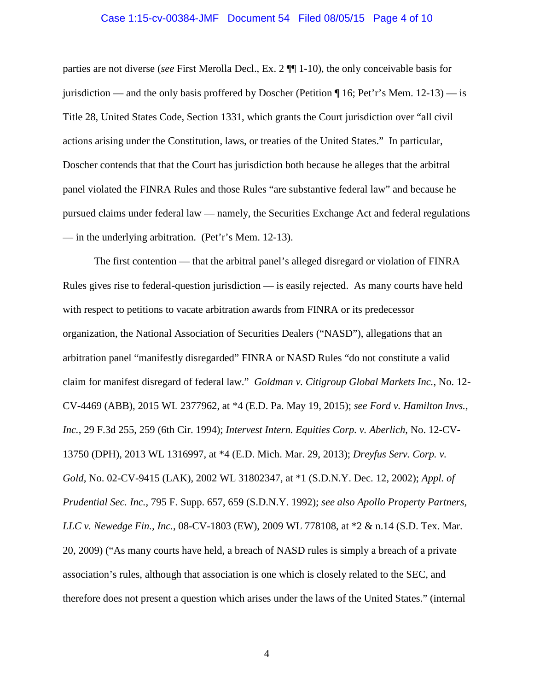# Case 1:15-cv-00384-JMF Document 54 Filed 08/05/15 Page 4 of 10

parties are not diverse (*see* First Merolla Decl., Ex. 2 ¶¶ 1-10), the only conceivable basis for jurisdiction — and the only basis proffered by Doscher (Petition  $\P$  16; Pet'r's Mem. 12-13) — is Title 28, United States Code, Section 1331, which grants the Court jurisdiction over "all civil actions arising under the Constitution, laws, or treaties of the United States." In particular, Doscher contends that that the Court has jurisdiction both because he alleges that the arbitral panel violated the FINRA Rules and those Rules "are substantive federal law" and because he pursued claims under federal law — namely, the Securities Exchange Act and federal regulations — in the underlying arbitration. (Pet'r's Mem. 12-13).

The first contention — that the arbitral panel's alleged disregard or violation of FINRA Rules gives rise to federal-question jurisdiction — is easily rejected. As many courts have held with respect to petitions to vacate arbitration awards from FINRA or its predecessor organization, the National Association of Securities Dealers ("NASD"), allegations that an arbitration panel "manifestly disregarded" FINRA or NASD Rules "do not constitute a valid claim for manifest disregard of federal law." *Goldman v. Citigroup Global Markets Inc.*, No. 12- CV-4469 (ABB), 2015 WL 2377962, at \*4 (E.D. Pa. May 19, 2015); *see Ford v. Hamilton Invs., Inc.*, 29 F.3d 255, 259 (6th Cir. 1994); *Intervest Intern. Equities Corp. v. Aberlich*, No. 12-CV-13750 (DPH), 2013 WL 1316997, at \*4 (E.D. Mich. Mar. 29, 2013); *Dreyfus Serv. Corp. v. Gold*, No. 02-CV-9415 (LAK), 2002 WL 31802347, at \*1 (S.D.N.Y. Dec. 12, 2002); *Appl. of Prudential Sec. Inc.*, 795 F. Supp. 657, 659 (S.D.N.Y. 1992); *see also Apollo Property Partners, LLC v. Newedge Fin., Inc.*, 08-CV-1803 (EW), 2009 WL 778108, at \*2 & n.14 (S.D. Tex. Mar. 20, 2009) ("As many courts have held, a breach of NASD rules is simply a breach of a private association's rules, although that association is one which is closely related to the SEC, and therefore does not present a question which arises under the laws of the United States." (internal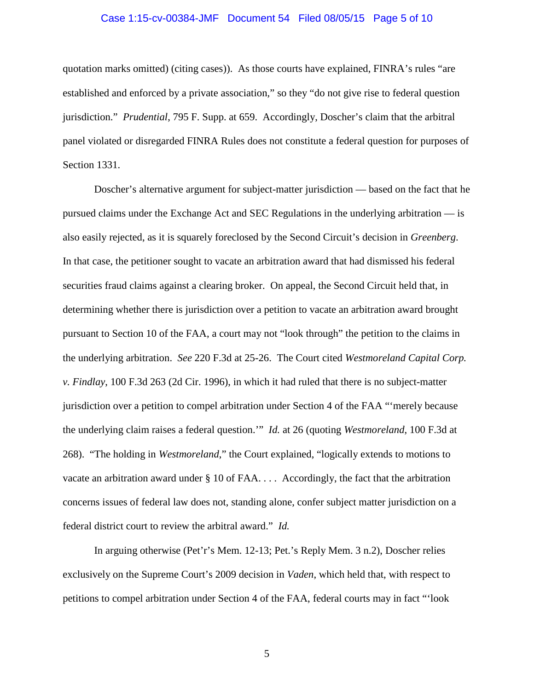# Case 1:15-cv-00384-JMF Document 54 Filed 08/05/15 Page 5 of 10

quotation marks omitted) (citing cases)). As those courts have explained, FINRA's rules "are established and enforced by a private association," so they "do not give rise to federal question jurisdiction." *Prudential*, 795 F. Supp. at 659. Accordingly, Doscher's claim that the arbitral panel violated or disregarded FINRA Rules does not constitute a federal question for purposes of Section 1331.

Doscher's alternative argument for subject-matter jurisdiction — based on the fact that he pursued claims under the Exchange Act and SEC Regulations in the underlying arbitration — is also easily rejected, as it is squarely foreclosed by the Second Circuit's decision in *Greenberg*. In that case, the petitioner sought to vacate an arbitration award that had dismissed his federal securities fraud claims against a clearing broker. On appeal, the Second Circuit held that, in determining whether there is jurisdiction over a petition to vacate an arbitration award brought pursuant to Section 10 of the FAA, a court may not "look through" the petition to the claims in the underlying arbitration. *See* 220 F.3d at 25-26. The Court cited *Westmoreland Capital Corp. v. Findlay*, 100 F.3d 263 (2d Cir. 1996), in which it had ruled that there is no subject-matter jurisdiction over a petition to compel arbitration under Section 4 of the FAA "'merely because the underlying claim raises a federal question.'" *Id.* at 26 (quoting *Westmoreland*, 100 F.3d at 268). "The holding in *Westmoreland*," the Court explained, "logically extends to motions to vacate an arbitration award under § 10 of FAA. . . . Accordingly, the fact that the arbitration concerns issues of federal law does not, standing alone, confer subject matter jurisdiction on a federal district court to review the arbitral award." *Id.*

In arguing otherwise (Pet'r's Mem. 12-13; Pet.'s Reply Mem. 3 n.2), Doscher relies exclusively on the Supreme Court's 2009 decision in *Vaden*, which held that, with respect to petitions to compel arbitration under Section 4 of the FAA, federal courts may in fact "'look

5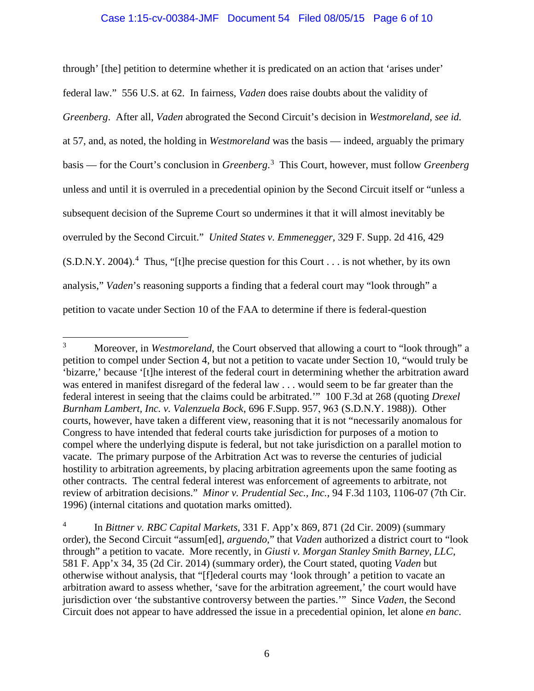# Case 1:15-cv-00384-JMF Document 54 Filed 08/05/15 Page 6 of 10

through' [the] petition to determine whether it is predicated on an action that 'arises under' federal law." 556 U.S. at 62. In fairness, *Vaden* does raise doubts about the validity of *Greenberg*. After all, *Vaden* abrograted the Second Circuit's decision in *Westmoreland*, *see id.*  at 57, and, as noted, the holding in *Westmoreland* was the basis — indeed, arguably the primary basis — for the Court's conclusion in *Greenberg*. 3 This Court, however, must follow *Greenberg* unless and until it is overruled in a precedential opinion by the Second Circuit itself or "unless a subsequent decision of the Supreme Court so undermines it that it will almost inevitably be overruled by the Second Circuit." *United States v. Emmenegger*, 329 F. Supp. 2d 416, 429  $(S.D.N.Y. 2004).$ <sup>4</sup> Thus, "[t]he precise question for this Court . . . is not whether, by its own analysis," *Vaden*'s reasoning supports a finding that a federal court may "look through" a petition to vacate under Section 10 of the FAA to determine if there is federal-question

<sup>&</sup>lt;sup>3</sup> Moreover, in *Westmoreland*, the Court observed that allowing a court to "look through" a petition to compel under Section 4, but not a petition to vacate under Section 10, "would truly be 'bizarre,' because '[t]he interest of the federal court in determining whether the arbitration award was entered in manifest disregard of the federal law . . . would seem to be far greater than the federal interest in seeing that the claims could be arbitrated.'" 100 F.3d at 268 (quoting *Drexel Burnham Lambert, Inc. v. Valenzuela Bock*, 696 F.Supp. 957, 963 (S.D.N.Y. 1988)). Other courts, however, have taken a different view, reasoning that it is not "necessarily anomalous for Congress to have intended that federal courts take jurisdiction for purposes of a motion to compel where the underlying dispute is federal, but not take jurisdiction on a parallel motion to vacate. The primary purpose of the Arbitration Act was to reverse the centuries of judicial hostility to arbitration agreements, by placing arbitration agreements upon the same footing as other contracts. The central federal interest was enforcement of agreements to arbitrate, not review of arbitration decisions." *Minor v. Prudential Sec., Inc.*, 94 F.3d 1103, 1106-07 (7th Cir. 1996) (internal citations and quotation marks omitted).

<sup>4</sup> In *Bittner v. RBC Capital Markets*, 331 F. App'x 869, 871 (2d Cir. 2009) (summary order), the Second Circuit "assum[ed], *arguendo*," that *Vaden* authorized a district court to "look through" a petition to vacate. More recently, in *Giusti v. Morgan Stanley Smith Barney, LLC*, 581 F. App'x 34, 35 (2d Cir. 2014) (summary order), the Court stated, quoting *Vaden* but otherwise without analysis, that "[f]ederal courts may 'look through' a petition to vacate an arbitration award to assess whether, 'save for the arbitration agreement,' the court would have jurisdiction over 'the substantive controversy between the parties.'" Since *Vaden*, the Second Circuit does not appear to have addressed the issue in a precedential opinion, let alone *en banc*.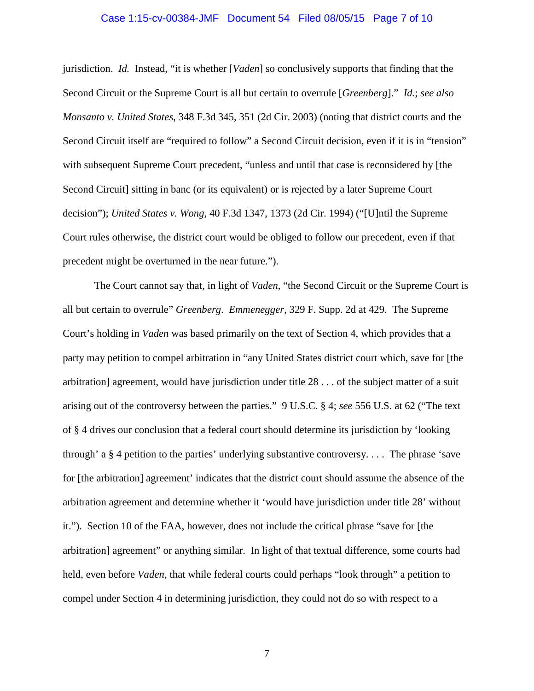# Case 1:15-cv-00384-JMF Document 54 Filed 08/05/15 Page 7 of 10

jurisdiction. *Id.* Instead, "it is whether [*Vaden*] so conclusively supports that finding that the Second Circuit or the Supreme Court is all but certain to overrule [*Greenberg*]." *Id.*; *see also Monsanto v. United States*, 348 F.3d 345, 351 (2d Cir. 2003) (noting that district courts and the Second Circuit itself are "required to follow" a Second Circuit decision, even if it is in "tension" with subsequent Supreme Court precedent, "unless and until that case is reconsidered by [the Second Circuit] sitting in banc (or its equivalent) or is rejected by a later Supreme Court decision"); *United States v. Wong*, 40 F.3d 1347, 1373 (2d Cir. 1994) ("[U]ntil the Supreme Court rules otherwise, the district court would be obliged to follow our precedent, even if that precedent might be overturned in the near future.").

The Court cannot say that, in light of *Vaden*, "the Second Circuit or the Supreme Court is all but certain to overrule" *Greenberg*. *Emmenegger*, 329 F. Supp. 2d at 429. The Supreme Court's holding in *Vaden* was based primarily on the text of Section 4, which provides that a party may petition to compel arbitration in "any United States district court which, save for [the arbitration] agreement, would have jurisdiction under title 28 . . . of the subject matter of a suit arising out of the controversy between the parties." 9 U.S.C. § 4; *see* 556 U.S. at 62 ("The text of § 4 drives our conclusion that a federal court should determine its jurisdiction by 'looking through' a § 4 petition to the parties' underlying substantive controversy. . . . The phrase 'save for [the arbitration] agreement' indicates that the district court should assume the absence of the arbitration agreement and determine whether it 'would have jurisdiction under title 28' without it."). Section 10 of the FAA, however, does not include the critical phrase "save for [the arbitration] agreement" or anything similar. In light of that textual difference, some courts had held, even before *Vaden*, that while federal courts could perhaps "look through" a petition to compel under Section 4 in determining jurisdiction, they could not do so with respect to a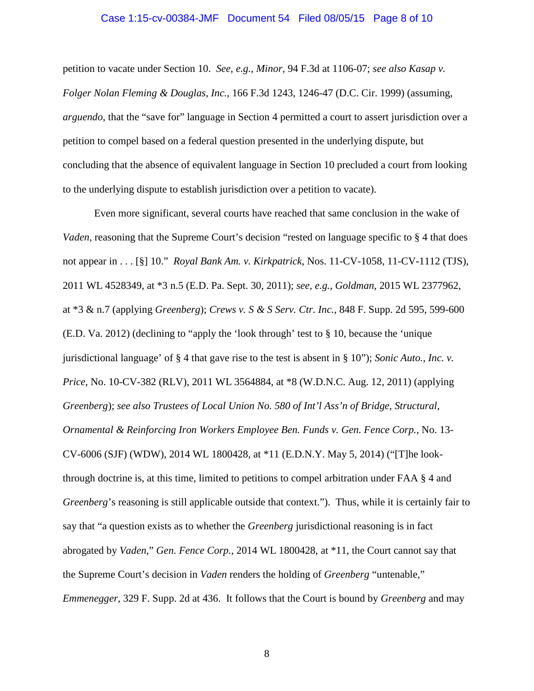# Case 1:15-cv-00384-JMF Document 54 Filed 08/05/15 Page 8 of 10

petition to vacate under Section 10. *See, e.g.*, *Minor*, 94 F.3d at 1106-07; *see also Kasap v. Folger Nolan Fleming & Douglas, Inc.*, 166 F.3d 1243, 1246-47 (D.C. Cir. 1999) (assuming, *arguendo*, that the "save for" language in Section 4 permitted a court to assert jurisdiction over a petition to compel based on a federal question presented in the underlying dispute, but concluding that the absence of equivalent language in Section 10 precluded a court from looking to the underlying dispute to establish jurisdiction over a petition to vacate).

Even more significant, several courts have reached that same conclusion in the wake of *Vaden*, reasoning that the Supreme Court's decision "rested on language specific to § 4 that does not appear in . . . [§] 10." *Royal Bank Am. v. Kirkpatrick*, Nos. 11-CV-1058, 11-CV-1112 (TJS), 2011 WL 4528349, at \*3 n.5 (E.D. Pa. Sept. 30, 2011); *see, e.g.*, *Goldman*, 2015 WL 2377962, at \*3 & n.7 (applying *Greenberg*); *Crews v. S & S Serv. Ctr. Inc.*, 848 F. Supp. 2d 595, 599-600 (E.D. Va. 2012) (declining to "apply the 'look through' test to § 10, because the 'unique jurisdictional language' of § 4 that gave rise to the test is absent in § 10"); *Sonic Auto., Inc. v. Price*, No. 10-CV-382 (RLV), 2011 WL 3564884, at \*8 (W.D.N.C. Aug. 12, 2011) (applying *Greenberg*); *see also Trustees of Local Union No. 580 of Int'l Ass'n of Bridge, Structural, Ornamental & Reinforcing Iron Workers Employee Ben. Funds v. Gen. Fence Corp.*, No. 13- CV-6006 (SJF) (WDW), 2014 WL 1800428, at \*11 (E.D.N.Y. May 5, 2014) ("[T]he lookthrough doctrine is, at this time, limited to petitions to compel arbitration under FAA § 4 and *Greenberg*'s reasoning is still applicable outside that context."). Thus, while it is certainly fair to say that "a question exists as to whether the *Greenberg* jurisdictional reasoning is in fact abrogated by *Vaden*," *Gen. Fence Corp.*, 2014 WL 1800428, at \*11, the Court cannot say that the Supreme Court's decision in *Vaden* renders the holding of *Greenberg* "untenable," *Emmenegger*, 329 F. Supp. 2d at 436. It follows that the Court is bound by *Greenberg* and may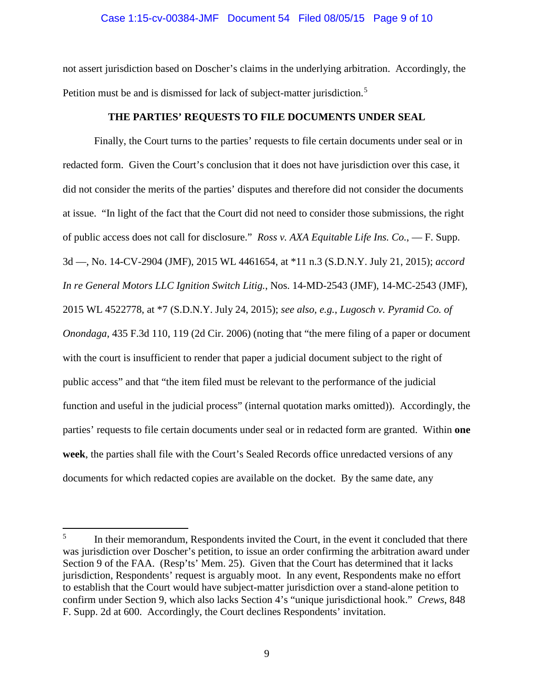### Case 1:15-cv-00384-JMF Document 54 Filed 08/05/15 Page 9 of 10

not assert jurisdiction based on Doscher's claims in the underlying arbitration. Accordingly, the Petition must be and is dismissed for lack of subject-matter jurisdiction.<sup>5</sup>

## **THE PARTIES' REQUESTS TO FILE DOCUMENTS UNDER SEAL**

Finally, the Court turns to the parties' requests to file certain documents under seal or in redacted form. Given the Court's conclusion that it does not have jurisdiction over this case, it did not consider the merits of the parties' disputes and therefore did not consider the documents at issue. "In light of the fact that the Court did not need to consider those submissions, the right of public access does not call for disclosure." *Ross v. AXA Equitable Life Ins. Co.*, — F. Supp. 3d —, No. 14-CV-2904 (JMF), 2015 WL 4461654, at \*11 n.3 (S.D.N.Y. July 21, 2015); *accord In re General Motors LLC Ignition Switch Litig.*, Nos. 14-MD-2543 (JMF), 14-MC-2543 (JMF), 2015 WL 4522778, at \*7 (S.D.N.Y. July 24, 2015); *see also, e.g.*, *Lugosch v. Pyramid Co. of Onondaga*, 435 F.3d 110, 119 (2d Cir. 2006) (noting that "the mere filing of a paper or document with the court is insufficient to render that paper a judicial document subject to the right of public access" and that "the item filed must be relevant to the performance of the judicial function and useful in the judicial process" (internal quotation marks omitted)). Accordingly, the parties' requests to file certain documents under seal or in redacted form are granted. Within **one week**, the parties shall file with the Court's Sealed Records office unredacted versions of any documents for which redacted copies are available on the docket. By the same date, any

 $\overline{a}$ 

<sup>5</sup> In their memorandum, Respondents invited the Court, in the event it concluded that there was jurisdiction over Doscher's petition, to issue an order confirming the arbitration award under Section 9 of the FAA. (Resp'ts' Mem. 25). Given that the Court has determined that it lacks jurisdiction, Respondents' request is arguably moot. In any event, Respondents make no effort to establish that the Court would have subject-matter jurisdiction over a stand-alone petition to confirm under Section 9, which also lacks Section 4's "unique jurisdictional hook." *Crews*, 848 F. Supp. 2d at 600. Accordingly, the Court declines Respondents' invitation.